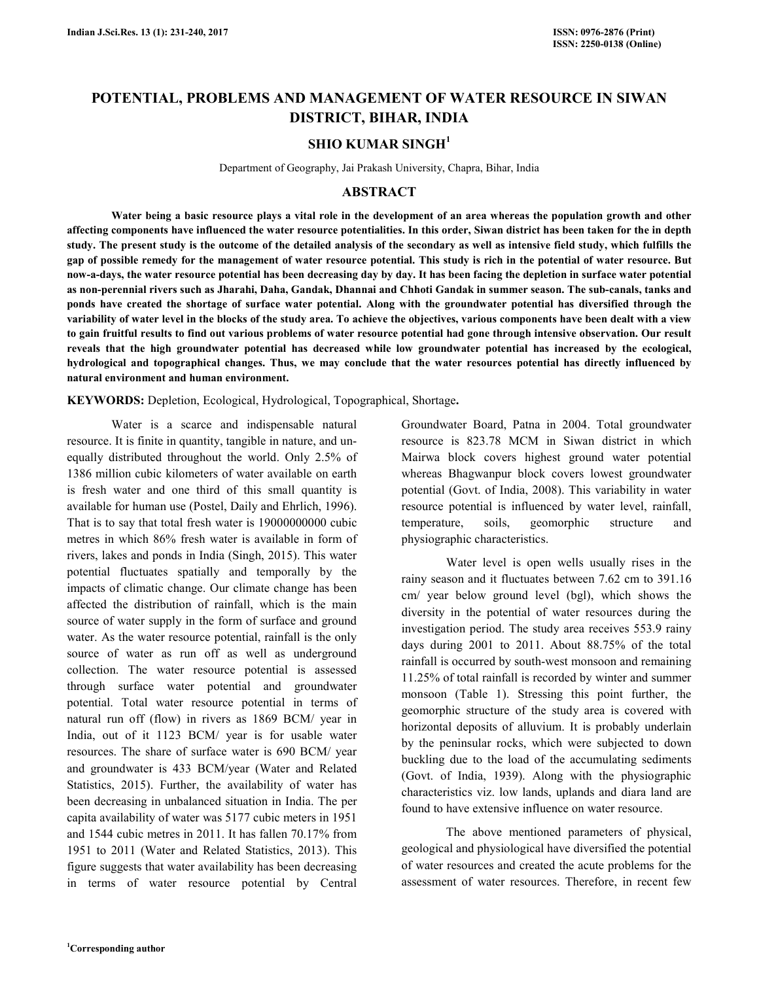# **POTENTIAL, PROBLEMS AND MANAGEMENT OF WATER RESOURCE IN SIWAN DISTRICT, BIHAR, INDIA**

## **SHIO KUMAR SINGH<sup>1</sup>**

Department of Geography, Jai Prakash University, Chapra, Bihar, India

### **ABSTRACT**

 **Water being a basic resource plays a vital role in the development of an area whereas the population growth and other affecting components have influenced the water resource potentialities. In this order, Siwan district has been taken for the in depth study. The present study is the outcome of the detailed analysis of the secondary as well as intensive field study, which fulfills the gap of possible remedy for the management of water resource potential. This study is rich in the potential of water resource. But now-a-days, the water resource potential has been decreasing day by day. It has been facing the depletion in surface water potential as non-perennial rivers such as Jharahi, Daha, Gandak, Dhannai and Chhoti Gandak in summer season. The sub-canals, tanks and ponds have created the shortage of surface water potential. Along with the groundwater potential has diversified through the variability of water level in the blocks of the study area. To achieve the objectives, various components have been dealt with a view to gain fruitful results to find out various problems of water resource potential had gone through intensive observation. Our result reveals that the high groundwater potential has decreased while low groundwater potential has increased by the ecological, hydrological and topographical changes. Thus, we may conclude that the water resources potential has directly influenced by natural environment and human environment.** 

**KEYWORDS:** Depletion, Ecological, Hydrological, Topographical, Shortage**.** 

 Water is a scarce and indispensable natural resource. It is finite in quantity, tangible in nature, and unequally distributed throughout the world. Only 2.5% of 1386 million cubic kilometers of water available on earth is fresh water and one third of this small quantity is available for human use (Postel, Daily and Ehrlich, 1996). That is to say that total fresh water is 19000000000 cubic metres in which 86% fresh water is available in form of rivers, lakes and ponds in India (Singh, 2015). This water potential fluctuates spatially and temporally by the impacts of climatic change. Our climate change has been affected the distribution of rainfall, which is the main source of water supply in the form of surface and ground water. As the water resource potential, rainfall is the only source of water as run off as well as underground collection. The water resource potential is assessed through surface water potential and groundwater potential. Total water resource potential in terms of natural run off (flow) in rivers as 1869 BCM/ year in India, out of it 1123 BCM/ year is for usable water resources. The share of surface water is 690 BCM/ year and groundwater is 433 BCM/year (Water and Related Statistics, 2015). Further, the availability of water has been decreasing in unbalanced situation in India. The per capita availability of water was 5177 cubic meters in 1951 and 1544 cubic metres in 2011. It has fallen 70.17% from 1951 to 2011 (Water and Related Statistics, 2013). This figure suggests that water availability has been decreasing in terms of water resource potential by Central

Groundwater Board, Patna in 2004. Total groundwater resource is 823.78 MCM in Siwan district in which Mairwa block covers highest ground water potential whereas Bhagwanpur block covers lowest groundwater potential (Govt. of India, 2008). This variability in water resource potential is influenced by water level, rainfall, temperature, soils, geomorphic structure and physiographic characteristics.

 Water level is open wells usually rises in the rainy season and it fluctuates between 7.62 cm to 391.16 cm/ year below ground level (bgl), which shows the diversity in the potential of water resources during the investigation period. The study area receives 553.9 rainy days during 2001 to 2011. About 88.75% of the total rainfall is occurred by south-west monsoon and remaining 11.25% of total rainfall is recorded by winter and summer monsoon (Table 1). Stressing this point further, the geomorphic structure of the study area is covered with horizontal deposits of alluvium. It is probably underlain by the peninsular rocks, which were subjected to down buckling due to the load of the accumulating sediments (Govt. of India, 1939). Along with the physiographic characteristics viz. low lands, uplands and diara land are found to have extensive influence on water resource.

 The above mentioned parameters of physical, geological and physiological have diversified the potential of water resources and created the acute problems for the assessment of water resources. Therefore, in recent few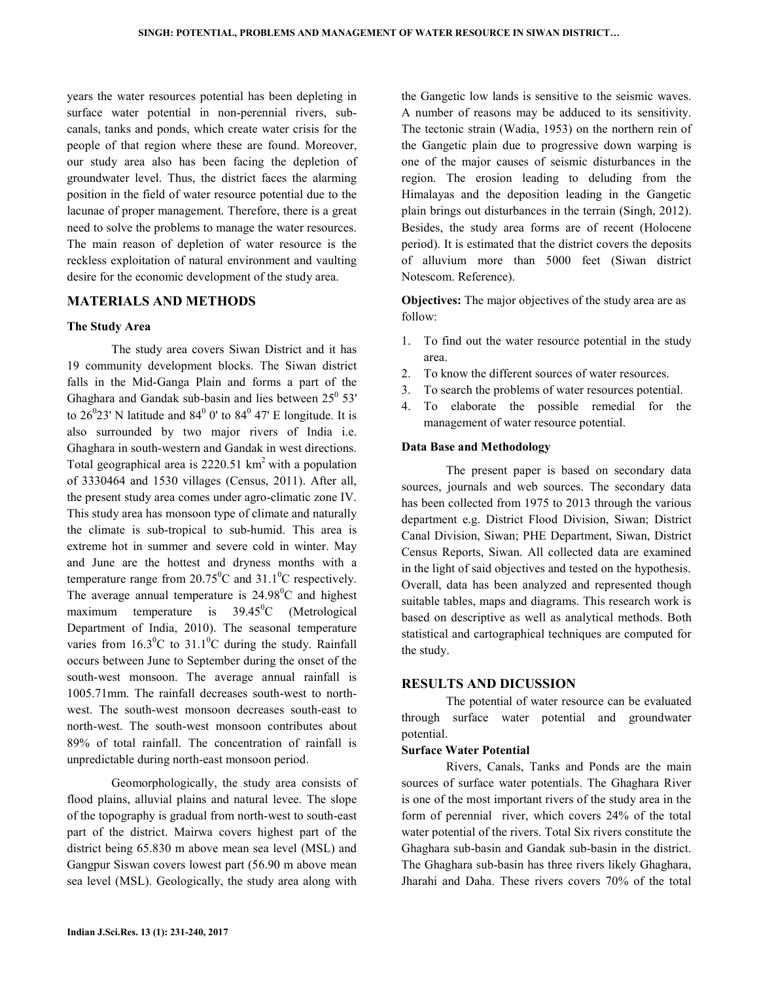years the water resources potential has been depleting in surface water potential in non-perennial rivers, subcanals, tanks and ponds, which create water crisis for the people of that region where these are found. Moreover, our study area also has been facing the depletion of groundwater level. Thus, the district faces the alarming position in the field of water resource potential due to the lacunae of proper management. Therefore, there is a great need to solve the problems to manage the water resources. The main reason of depletion of water resource is the reckless exploitation of natural environment and vaulting desire for the economic development of the study area.

### **MATERIALS AND METHODS**

#### **The Study Area**

 The study area covers Siwan District and it has 19 community development blocks. The Siwan district falls in the Mid-Ganga Plain and forms a part of the Ghaghara and Gandak sub-basin and lies between  $25^{\circ}$  53' to  $26^{\circ}23'$  N latitude and  $84^{\circ}$  0' to  $84^{\circ}$  47' E longitude. It is also surrounded by two major rivers of India i.e. Ghaghara in south-western and Gandak in west directions. Total geographical area is  $2220.51 \text{ km}^2$  with a population of 3330464 and 1530 villages (Census, 2011). After all, the present study area comes under agro-climatic zone IV. This study area has monsoon type of climate and naturally the climate is sub-tropical to sub-humid. This area is extreme hot in summer and severe cold in winter. May and June are the hottest and dryness months with a temperature range from  $20.75^{\circ}$ C and  $31.1^{\circ}$ C respectively. The average annual temperature is  $24.98^{\circ}$ C and highest maximum temperature is  $39.45^{\circ}$ C (Metrological Department of India, 2010). The seasonal temperature varies from  $16.3^{\circ}$ C to  $31.1^{\circ}$ C during the study. Rainfall occurs between June to September during the onset of the south-west monsoon. The average annual rainfall is 1005.71mm. The rainfall decreases south-west to northwest. The south-west monsoon decreases south-east to north-west. The south-west monsoon contributes about 89% of total rainfall. The concentration of rainfall is unpredictable during north-east monsoon period.

 Geomorphologically, the study area consists of flood plains, alluvial plains and natural levee. The slope of the topography is gradual from north-west to south-east part of the district. Mairwa covers highest part of the district being 65.830 m above mean sea level (MSL) and Gangpur Siswan covers lowest part (56.90 m above mean sea level (MSL). Geologically, the study area along with

the Gangetic low lands is sensitive to the seismic waves. A number of reasons may be adduced to its sensitivity. The tectonic strain (Wadia, 1953) on the northern rein of the Gangetic plain due to progressive down warping is one of the major causes of seismic disturbances in the region. The erosion leading to deluding from the Himalayas and the deposition leading in the Gangetic plain brings out disturbances in the terrain (Singh, 2012). Besides, the study area forms are of recent (Holocene period). It is estimated that the district covers the deposits of alluvium more than 5000 feet (Siwan district Notescom. Reference).

**Objectives:** The major objectives of the study area are as follow:

- 1. To find out the water resource potential in the study area.
- 2. To know the different sources of water resources.
- 3. To search the problems of water resources potential.
- 4. To elaborate the possible remedial for the management of water resource potential.

#### **Data Base and Methodology**

 The present paper is based on secondary data sources, journals and web sources. The secondary data has been collected from 1975 to 2013 through the various department e.g. District Flood Division, Siwan; District Canal Division, Siwan; PHE Department, Siwan, District Census Reports, Siwan. All collected data are examined in the light of said objectives and tested on the hypothesis. Overall, data has been analyzed and represented though suitable tables, maps and diagrams. This research work is based on descriptive as well as analytical methods. Both statistical and cartographical techniques are computed for the study.

#### **RESULTS AND DICUSSION**

 The potential of water resource can be evaluated through surface water potential and groundwater potential.

### **Surface Water Potential**

 Rivers, Canals, Tanks and Ponds are the main sources of surface water potentials. The Ghaghara River is one of the most important rivers of the study area in the form of perennial river, which covers 24% of the total water potential of the rivers. Total Six rivers constitute the Ghaghara sub-basin and Gandak sub-basin in the district. The Ghaghara sub-basin has three rivers likely Ghaghara, Jharahi and Daha. These rivers covers 70% of the total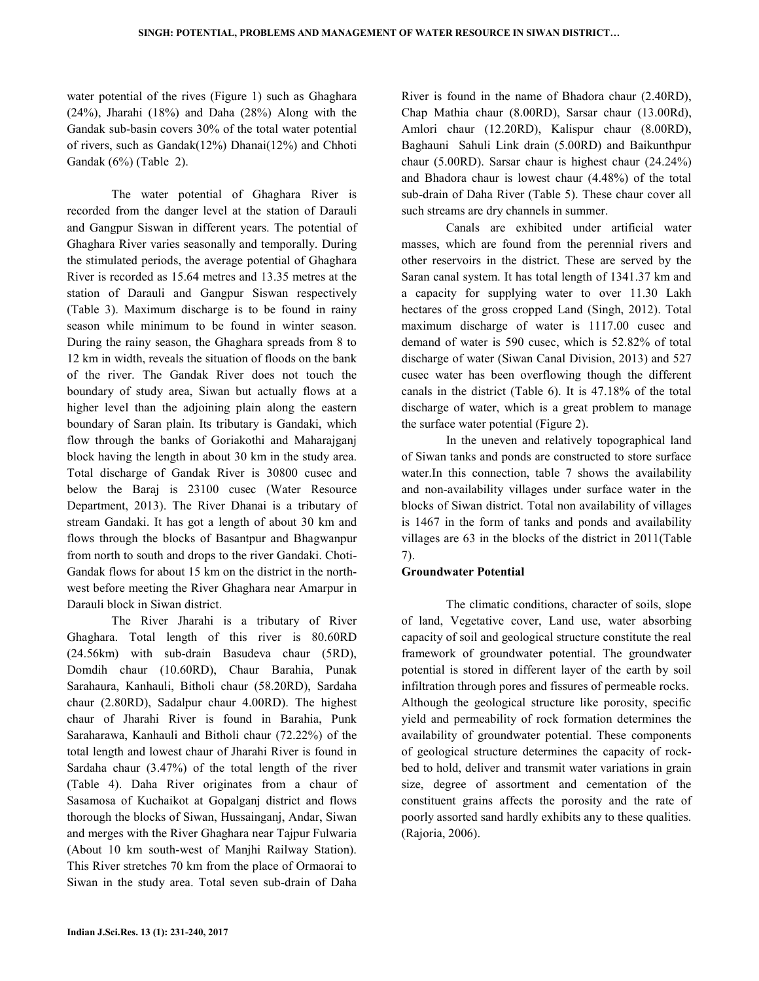water potential of the rives (Figure 1) such as Ghaghara (24%), Jharahi (18%) and Daha (28%) Along with the Gandak sub-basin covers 30% of the total water potential of rivers, such as Gandak(12%) Dhanai(12%) and Chhoti Gandak (6%) (Table 2).

The water potential of Ghaghara River is recorded from the danger level at the station of Darauli and Gangpur Siswan in different years. The potential of Ghaghara River varies seasonally and temporally. During the stimulated periods, the average potential of Ghaghara River is recorded as 15.64 metres and 13.35 metres at the station of Darauli and Gangpur Siswan respectively (Table 3). Maximum discharge is to be found in rainy season while minimum to be found in winter season. During the rainy season, the Ghaghara spreads from 8 to 12 km in width, reveals the situation of floods on the bank of the river. The Gandak River does not touch the boundary of study area, Siwan but actually flows at a higher level than the adjoining plain along the eastern boundary of Saran plain. Its tributary is Gandaki, which flow through the banks of Goriakothi and Maharajganj block having the length in about 30 km in the study area. Total discharge of Gandak River is 30800 cusec and below the Baraj is 23100 cusec (Water Resource Department, 2013). The River Dhanai is a tributary of stream Gandaki. It has got a length of about 30 km and flows through the blocks of Basantpur and Bhagwanpur from north to south and drops to the river Gandaki. Choti-Gandak flows for about 15 km on the district in the northwest before meeting the River Ghaghara near Amarpur in Darauli block in Siwan district.

The River Jharahi is a tributary of River Ghaghara. Total length of this river is 80.60RD (24.56km) with sub-drain Basudeva chaur (5RD), Domdih chaur (10.60RD), Chaur Barahia, Punak Sarahaura, Kanhauli, Bitholi chaur (58.20RD), Sardaha chaur (2.80RD), Sadalpur chaur 4.00RD). The highest chaur of Jharahi River is found in Barahia, Punk Saraharawa, Kanhauli and Bitholi chaur (72.22%) of the total length and lowest chaur of Jharahi River is found in Sardaha chaur (3.47%) of the total length of the river (Table 4). Daha River originates from a chaur of Sasamosa of Kuchaikot at Gopalganj district and flows thorough the blocks of Siwan, Hussainganj, Andar, Siwan and merges with the River Ghaghara near Tajpur Fulwaria (About 10 km south-west of Manjhi Railway Station). This River stretches 70 km from the place of Ormaorai to Siwan in the study area. Total seven sub-drain of Daha

River is found in the name of Bhadora chaur (2.40RD), Chap Mathia chaur (8.00RD), Sarsar chaur (13.00Rd), Amlori chaur (12.20RD), Kalispur chaur (8.00RD), Baghauni Sahuli Link drain (5.00RD) and Baikunthpur chaur (5.00RD). Sarsar chaur is highest chaur (24.24%) and Bhadora chaur is lowest chaur (4.48%) of the total sub-drain of Daha River (Table 5). These chaur cover all such streams are dry channels in summer.

Canals are exhibited under artificial water masses, which are found from the perennial rivers and other reservoirs in the district. These are served by the Saran canal system. It has total length of 1341.37 km and a capacity for supplying water to over 11.30 Lakh hectares of the gross cropped Land (Singh, 2012). Total maximum discharge of water is 1117.00 cusec and demand of water is 590 cusec, which is 52.82% of total discharge of water (Siwan Canal Division, 2013) and 527 cusec water has been overflowing though the different canals in the district (Table 6). It is 47.18% of the total discharge of water, which is a great problem to manage the surface water potential (Figure 2).

In the uneven and relatively topographical land of Siwan tanks and ponds are constructed to store surface water. In this connection, table 7 shows the availability and non-availability villages under surface water in the blocks of Siwan district. Total non availability of villages is 1467 in the form of tanks and ponds and availability villages are 63 in the blocks of the district in 2011(Table 7).

### **Groundwater Potential**

 The climatic conditions, character of soils, slope of land, Vegetative cover, Land use, water absorbing capacity of soil and geological structure constitute the real framework of groundwater potential. The groundwater potential is stored in different layer of the earth by soil infiltration through pores and fissures of permeable rocks. Although the geological structure like porosity, specific yield and permeability of rock formation determines the availability of groundwater potential. These components of geological structure determines the capacity of rockbed to hold, deliver and transmit water variations in grain size, degree of assortment and cementation of the constituent grains affects the porosity and the rate of poorly assorted sand hardly exhibits any to these qualities. (Rajoria, 2006).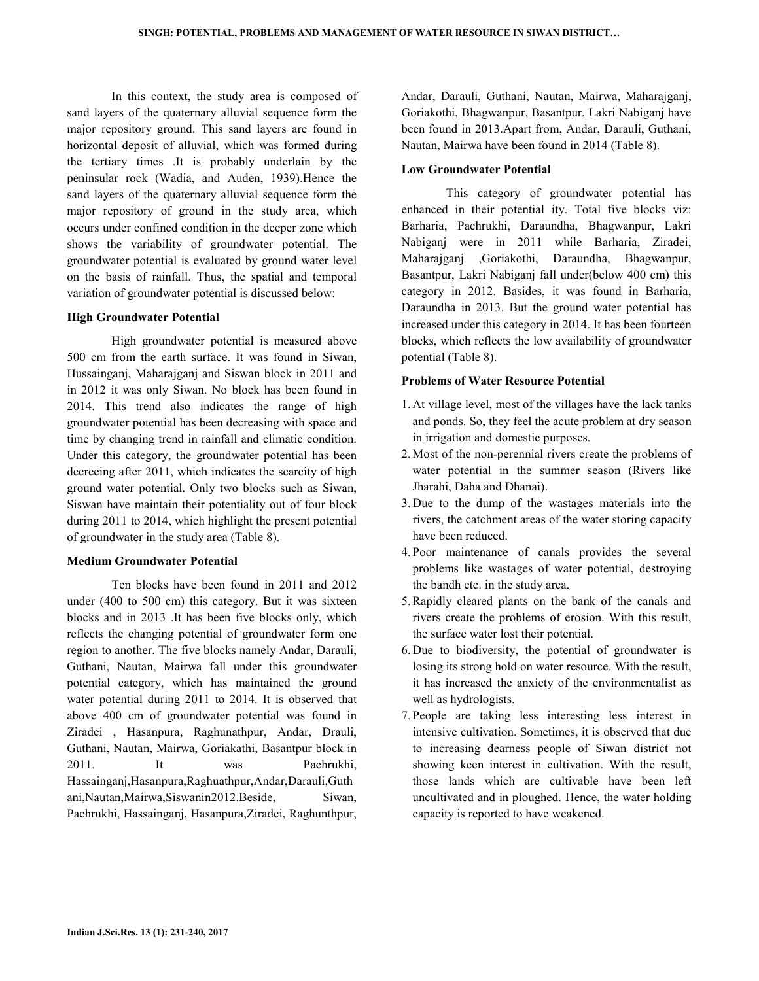In this context, the study area is composed of sand layers of the quaternary alluvial sequence form the major repository ground. This sand layers are found in horizontal deposit of alluvial, which was formed during the tertiary times .It is probably underlain by the peninsular rock (Wadia, and Auden, 1939).Hence the sand layers of the quaternary alluvial sequence form the major repository of ground in the study area, which occurs under confined condition in the deeper zone which shows the variability of groundwater potential. The groundwater potential is evaluated by ground water level on the basis of rainfall. Thus, the spatial and temporal variation of groundwater potential is discussed below:

#### **High Groundwater Potential**

 High groundwater potential is measured above 500 cm from the earth surface. It was found in Siwan, Hussainganj, Maharajganj and Siswan block in 2011 and in 2012 it was only Siwan. No block has been found in 2014. This trend also indicates the range of high groundwater potential has been decreasing with space and time by changing trend in rainfall and climatic condition. Under this category, the groundwater potential has been decreeing after 2011, which indicates the scarcity of high ground water potential. Only two blocks such as Siwan, Siswan have maintain their potentiality out of four block during 2011 to 2014, which highlight the present potential of groundwater in the study area (Table 8).

#### **Medium Groundwater Potential**

 Ten blocks have been found in 2011 and 2012 under (400 to 500 cm) this category. But it was sixteen blocks and in 2013 .It has been five blocks only, which reflects the changing potential of groundwater form one region to another. The five blocks namely Andar, Darauli, Guthani, Nautan, Mairwa fall under this groundwater potential category, which has maintained the ground water potential during 2011 to 2014. It is observed that above 400 cm of groundwater potential was found in Ziradei , Hasanpura, Raghunathpur, Andar, Drauli, Guthani, Nautan, Mairwa, Goriakathi, Basantpur block in 2011. It was Pachrukhi, Hassainganj,Hasanpura,Raghuathpur,Andar,Darauli,Guth ani,Nautan,Mairwa,Siswanin2012.Beside, Siwan, Pachrukhi, Hassainganj, Hasanpura,Ziradei, Raghunthpur,

Andar, Darauli, Guthani, Nautan, Mairwa, Maharajganj, Goriakothi, Bhagwanpur, Basantpur, Lakri Nabiganj have been found in 2013.Apart from, Andar, Darauli, Guthani, Nautan, Mairwa have been found in 2014 (Table 8).

### **Low Groundwater Potential**

 This category of groundwater potential has enhanced in their potential ity. Total five blocks viz: Barharia, Pachrukhi, Daraundha, Bhagwanpur, Lakri Nabiganj were in 2011 while Barharia, Ziradei, Maharajganj ,Goriakothi, Daraundha, Bhagwanpur, Basantpur, Lakri Nabiganj fall under(below 400 cm) this category in 2012. Basides, it was found in Barharia, Daraundha in 2013. But the ground water potential has increased under this category in 2014. It has been fourteen blocks, which reflects the low availability of groundwater potential (Table 8).

### **Problems of Water Resource Potential**

- 1. At village level, most of the villages have the lack tanks and ponds. So, they feel the acute problem at dry season in irrigation and domestic purposes.
- 2. Most of the non-perennial rivers create the problems of water potential in the summer season (Rivers like Jharahi, Daha and Dhanai).
- 3. Due to the dump of the wastages materials into the rivers, the catchment areas of the water storing capacity have been reduced.
- 4. Poor maintenance of canals provides the several problems like wastages of water potential, destroying the bandh etc. in the study area.
- 5.Rapidly cleared plants on the bank of the canals and rivers create the problems of erosion. With this result, the surface water lost their potential.
- 6. Due to biodiversity, the potential of groundwater is losing its strong hold on water resource. With the result, it has increased the anxiety of the environmentalist as well as hydrologists.
- 7. People are taking less interesting less interest in intensive cultivation. Sometimes, it is observed that due to increasing dearness people of Siwan district not showing keen interest in cultivation. With the result, those lands which are cultivable have been left uncultivated and in ploughed. Hence, the water holding capacity is reported to have weakened.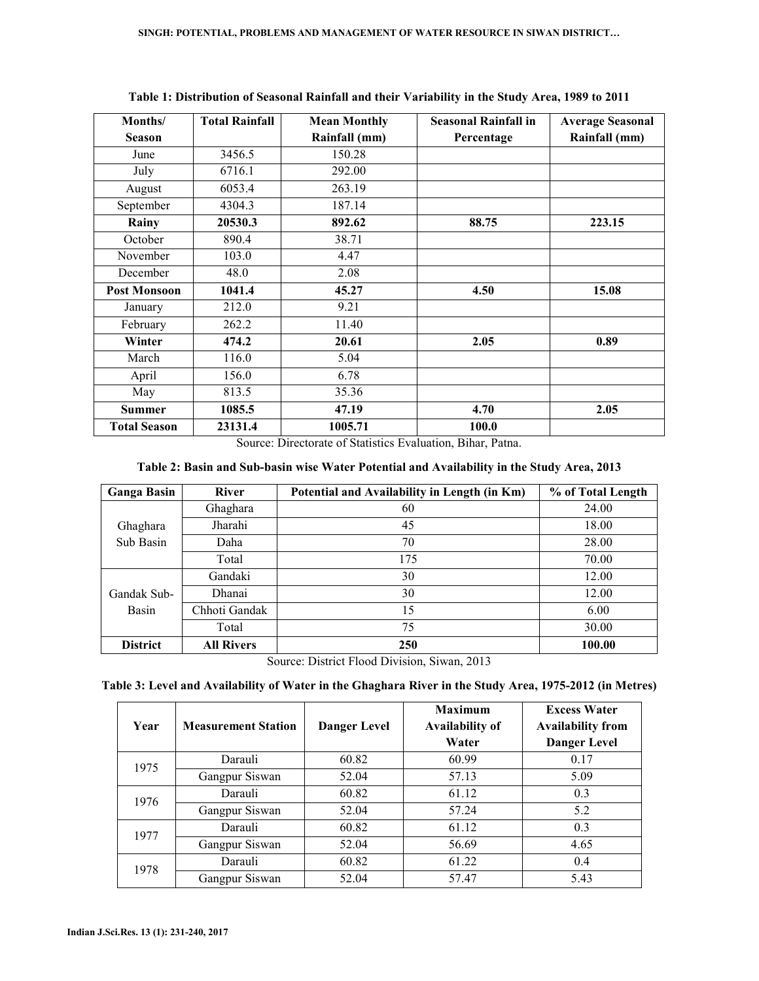| Months/             | <b>Total Rainfall</b> | <b>Mean Monthly</b> | <b>Seasonal Rainfall in</b> | <b>Average Seasonal</b> |
|---------------------|-----------------------|---------------------|-----------------------------|-------------------------|
| <b>Season</b>       |                       | Rainfall (mm)       | Percentage                  | Rainfall (mm)           |
| June                | 3456.5                | 150.28              |                             |                         |
| July                | 6716.1                | 292.00              |                             |                         |
| August              | 6053.4                | 263.19              |                             |                         |
| September           | 4304.3                | 187.14              |                             |                         |
| Rainy               | 20530.3               | 892.62              | 88.75                       | 223.15                  |
| October             | 890.4                 | 38.71               |                             |                         |
| November            | 103.0                 | 4.47                |                             |                         |
| December            | 48.0                  | 2.08                |                             |                         |
| <b>Post Monsoon</b> | 1041.4                | 45.27               | 4.50                        | 15.08                   |
| January             | 212.0                 | 9.21                |                             |                         |
| February            | 262.2                 | 11.40               |                             |                         |
| Winter              | 474.2                 | 20.61               | 2.05                        | 0.89                    |
| March               | 116.0                 | 5.04                |                             |                         |
| April               | 156.0                 | 6.78                |                             |                         |
| May                 | 813.5                 | 35.36               |                             |                         |
| Summer              | 1085.5                | 47.19               | 4.70                        | 2.05                    |
| <b>Total Season</b> | 23131.4               | 1005.71             | 100.0                       |                         |

**Table 1: Distribution of Seasonal Rainfall and their Variability in the Study Area, 1989 to 2011** 

Source: Directorate of Statistics Evaluation, Bihar, Patna.

| Table 2: Basin and Sub-basin wise Water Potential and Availability in the Study Area, 2013 |
|--------------------------------------------------------------------------------------------|
|--------------------------------------------------------------------------------------------|

| <b>Ganga Basin</b> | <b>River</b>      | Potential and Availability in Length (in Km) | % of Total Length |
|--------------------|-------------------|----------------------------------------------|-------------------|
|                    | Ghaghara          | 60                                           | 24.00             |
| Ghaghara           | Jharahi           | 45                                           | 18.00             |
| Sub Basin          | Daha              | 70                                           | 28.00             |
|                    | Total             | 175                                          | 70.00             |
|                    | Gandaki           | 30                                           | 12.00             |
| Gandak Sub-        | Dhanai            | 30                                           | 12.00             |
| Basin              | Chhoti Gandak     | 15                                           | 6.00              |
|                    | Total             | 75                                           | 30.00             |
| <b>District</b>    | <b>All Rivers</b> | 250                                          | 100.00            |

Source: District Flood Division, Siwan, 2013

## **Table 3: Level and Availability of Water in the Ghaghara River in the Study Area, 1975-2012 (in Metres)**

| Year | <b>Measurement Station</b> | Danger Level | <b>Maximum</b><br><b>Availability of</b><br>Water | <b>Excess Water</b><br><b>Availability from</b><br><b>Danger Level</b> |
|------|----------------------------|--------------|---------------------------------------------------|------------------------------------------------------------------------|
| 1975 | Darauli                    | 60.82        | 60.99                                             | 0.17                                                                   |
|      | Gangpur Siswan             | 52.04        | 57.13                                             | 5.09                                                                   |
| 1976 | Darauli                    | 60.82        | 61.12                                             | 0.3                                                                    |
|      | Gangpur Siswan             | 52.04        | 57.24                                             | 5.2                                                                    |
| 1977 | Darauli                    | 60.82        | 61.12                                             | 0.3                                                                    |
|      | Gangpur Siswan             | 52.04        | 56.69                                             | 4.65                                                                   |
| 1978 | Darauli                    | 60.82        | 61.22                                             | 0.4                                                                    |
|      | Gangpur Siswan             | 52.04        | 57.47                                             | 5.43                                                                   |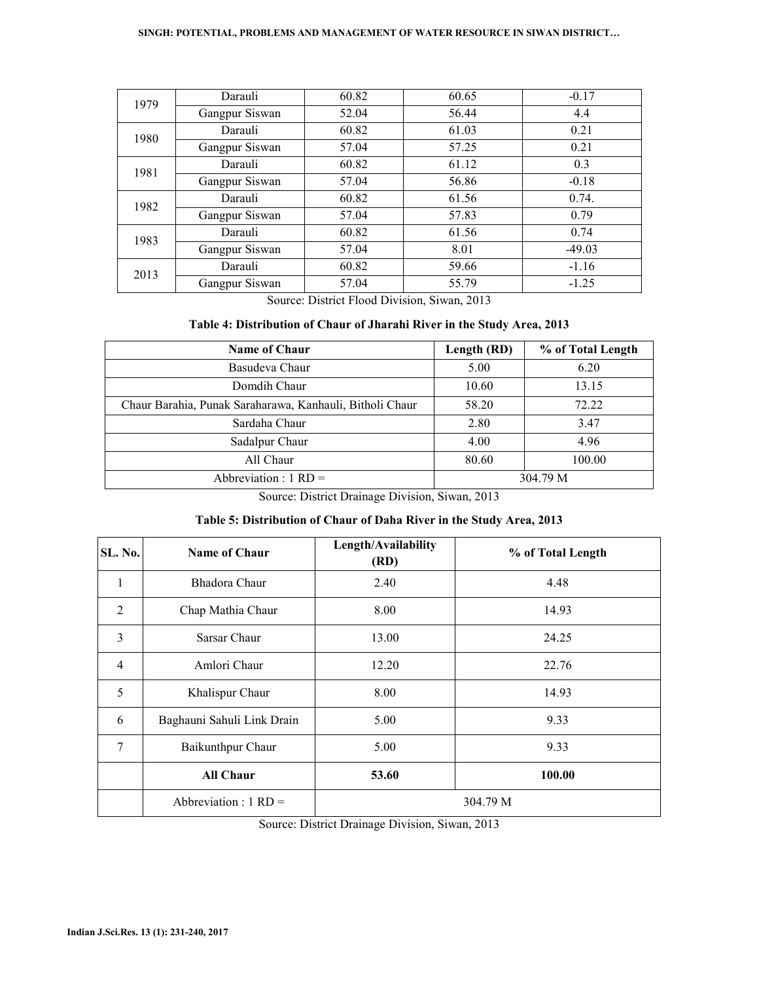#### **SINGH: POTENTIAL, PROBLEMS AND MANAGEMENT OF WATER RESOURCE IN SIWAN DISTRICT…**

| 1979 | Darauli        | 60.82 | 60.65 | $-0.17$  |
|------|----------------|-------|-------|----------|
|      | Gangpur Siswan | 52.04 | 56.44 | 4.4      |
| 1980 | Darauli        | 60.82 | 61.03 | 0.21     |
|      | Gangpur Siswan | 57.04 | 57.25 | 0.21     |
| 1981 | Darauli        | 60.82 | 61.12 | 0.3      |
|      | Gangpur Siswan | 57.04 | 56.86 | $-0.18$  |
| 1982 | Darauli        | 60.82 | 61.56 | 0.74.    |
|      | Gangpur Siswan | 57.04 | 57.83 | 0.79     |
| 1983 | Darauli        | 60.82 | 61.56 | 0.74     |
|      | Gangpur Siswan | 57.04 | 8.01  | $-49.03$ |
| 2013 | Darauli        | 60.82 | 59.66 | $-1.16$  |
|      | Gangpur Siswan | 57.04 | 55.79 | $-1.25$  |

Source: District Flood Division, Siwan, 2013

### **Table 4: Distribution of Chaur of Jharahi River in the Study Area, 2013**

| <b>Name of Chaur</b>                                     | Length (RD) | % of Total Length |
|----------------------------------------------------------|-------------|-------------------|
| Basudeva Chaur                                           | 5.00        | 6.20              |
| Domdih Chaur                                             | 10.60       | 13.15             |
| Chaur Barahia, Punak Saraharawa, Kanhauli, Bitholi Chaur | 58.20       | 72.22             |
| Sardaha Chaur                                            | 2.80        | 3.47              |
| Sadalpur Chaur                                           | 4.00        | 4.96              |
| All Chaur                                                | 80.60       | 100.00            |
| Abbreviation : $1 \text{ RD} =$                          |             | 304.79 M          |

Source: District Drainage Division, Siwan, 2013

## **Table 5: Distribution of Chaur of Daha River in the Study Area, 2013**

| SL. No.        | <b>Name of Chaur</b>            | Length/Availability<br>(RD) | % of Total Length |
|----------------|---------------------------------|-----------------------------|-------------------|
| 1              | Bhadora Chaur                   | 2.40                        | 4.48              |
| $\overline{2}$ | Chap Mathia Chaur               | 8.00                        | 14.93             |
| 3              | Sarsar Chaur                    | 13.00                       | 24.25             |
| $\overline{4}$ | Amlori Chaur                    | 12.20                       | 22.76             |
| 5              | Khalispur Chaur                 | 8.00                        | 14.93             |
| 6              | Baghauni Sahuli Link Drain      | 5.00                        | 9.33              |
| 7              | Baikunthpur Chaur               | 5.00                        | 9.33              |
|                | <b>All Chaur</b>                | 53.60                       | 100.00            |
|                | Abbreviation : $1 \text{ RD} =$ |                             | 304.79 M          |

Source: District Drainage Division, Siwan, 2013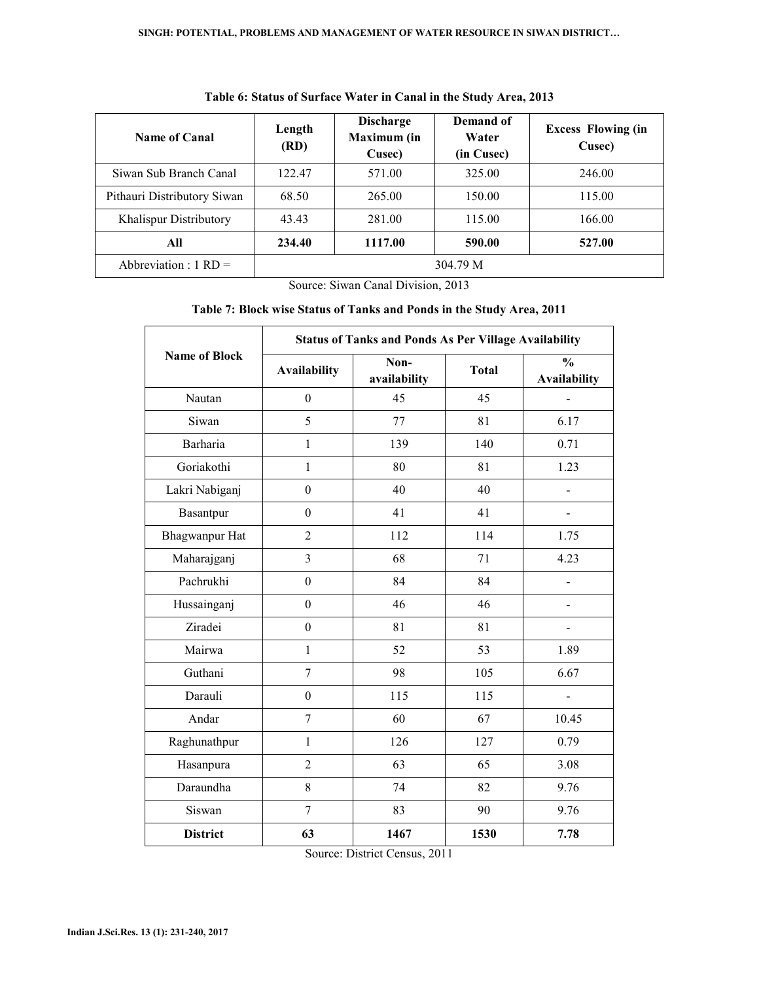| <b>Name of Canal</b>            | Length<br>(RD) | <b>Discharge</b><br>Maximum (in<br>Cusec) | Demand of<br>Water<br>(in Cusec) | <b>Excess Flowing (in</b><br>Cusec) |
|---------------------------------|----------------|-------------------------------------------|----------------------------------|-------------------------------------|
| Siwan Sub Branch Canal          | 122.47         | 571.00                                    | 325.00                           | 246.00                              |
| Pithauri Distributory Siwan     | 68.50          | 265.00                                    | 150.00                           | 115.00                              |
| Khalispur Distributory          | 43.43          | 281.00                                    | 115.00                           | 166.00                              |
| All                             | 234.40         | 1117.00                                   | 590.00                           | 527.00                              |
| Abbreviation : $1 \text{ RD} =$ |                |                                           | 304.79 M                         |                                     |

## **Table 6: Status of Surface Water in Canal in the Study Area, 2013**

Source: Siwan Canal Division, 2013

## **Table 7: Block wise Status of Tanks and Ponds in the Study Area, 2011**

|                      | <b>Status of Tanks and Ponds As Per Village Availability</b> |                      |              |                                      |  |  |
|----------------------|--------------------------------------------------------------|----------------------|--------------|--------------------------------------|--|--|
| <b>Name of Block</b> | <b>Availability</b>                                          | Non-<br>availability | <b>Total</b> | $\frac{0}{0}$<br><b>Availability</b> |  |  |
| Nautan               | $\boldsymbol{0}$                                             | 45                   | 45           |                                      |  |  |
| Siwan                | 5                                                            | 77                   | 81           | 6.17                                 |  |  |
| <b>Barharia</b>      | 1                                                            | 139                  | 140          | 0.71                                 |  |  |
| Goriakothi           | $\mathbf{1}$                                                 | 80                   | 81           | 1.23                                 |  |  |
| Lakri Nabiganj       | $\boldsymbol{0}$                                             | 40                   | 40           |                                      |  |  |
| Basantpur            | $\Omega$                                                     | 41                   | 41           | $\overline{\phantom{0}}$             |  |  |
| Bhagwanpur Hat       | $\overline{2}$                                               | 112                  | 114          | 1.75                                 |  |  |
| Maharajganj          | $\overline{3}$                                               | 68                   | 71           | 4.23                                 |  |  |
| Pachrukhi            | $\theta$                                                     | 84                   | 84           |                                      |  |  |
| Hussainganj          | $\overline{0}$                                               | 46                   | 46           | $\overline{\phantom{0}}$             |  |  |
| Ziradei              | $\boldsymbol{0}$                                             | 81                   | 81           | $\overline{\phantom{0}}$             |  |  |
| Mairwa               | 1                                                            | 52                   | 53           | 1.89                                 |  |  |
| Guthani              | $\overline{7}$                                               | 98                   | 105          | 6.67                                 |  |  |
| Darauli              | $\boldsymbol{0}$                                             | 115                  | 115          |                                      |  |  |
| Andar                | $\overline{7}$                                               | 60                   | 67           | 10.45                                |  |  |
| Raghunathpur         | $\mathbf{1}$                                                 | 126                  | 127          | 0.79                                 |  |  |
| Hasanpura            | $\overline{2}$                                               | 63                   | 65           | 3.08                                 |  |  |
| Daraundha            | 8                                                            | 74                   | 82           | 9.76                                 |  |  |
| Siswan               | $\overline{7}$                                               | 83                   | 90           | 9.76                                 |  |  |
| <b>District</b>      | 63                                                           | 1467                 | 1530         | 7.78                                 |  |  |

Source: District Census, 2011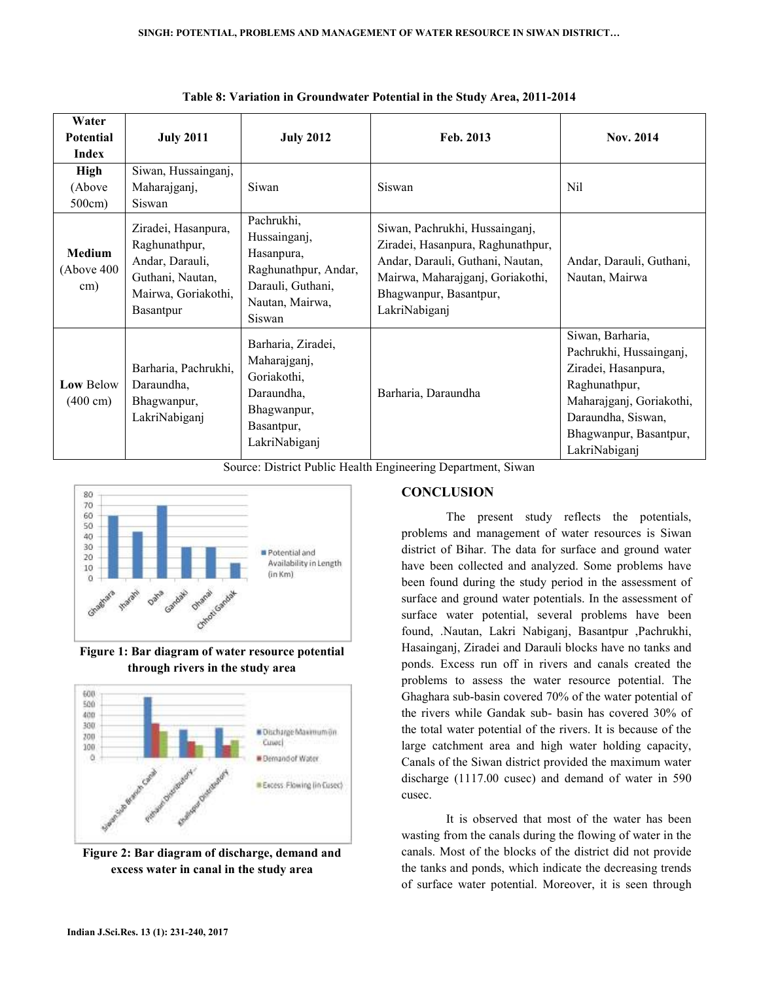| Water<br><b>Potential</b><br>Index     | <b>July 2011</b>                                                                                                | <b>July 2012</b>                                                                                                   | Feb. 2013                                                                                                                                                                              | <b>Nov. 2014</b>                                                                                                                                                                 |
|----------------------------------------|-----------------------------------------------------------------------------------------------------------------|--------------------------------------------------------------------------------------------------------------------|----------------------------------------------------------------------------------------------------------------------------------------------------------------------------------------|----------------------------------------------------------------------------------------------------------------------------------------------------------------------------------|
| <b>High</b><br>(Above<br>500cm)        | Siwan, Hussainganj,<br>Maharajganj,<br>Siswan                                                                   | Siwan                                                                                                              | Siswan                                                                                                                                                                                 | Nil                                                                                                                                                                              |
| Medium<br>(Above 400)<br>cm)           | Ziradei, Hasanpura,<br>Raghunathpur,<br>Andar, Darauli,<br>Guthani, Nautan,<br>Mairwa, Goriakothi,<br>Basantpur | Pachrukhi,<br>Hussainganj,<br>Hasanpura,<br>Raghunathpur, Andar,<br>Darauli, Guthani,<br>Nautan, Mairwa,<br>Siswan | Siwan, Pachrukhi, Hussainganj,<br>Ziradei, Hasanpura, Raghunathpur,<br>Andar, Darauli, Guthani, Nautan,<br>Mairwa, Maharajganj, Goriakothi,<br>Bhagwanpur, Basantpur,<br>LakriNabiganj | Andar, Darauli, Guthani,<br>Nautan, Mairwa                                                                                                                                       |
| <b>Low Below</b><br>$(400 \text{ cm})$ | Barharia, Pachrukhi,<br>Daraundha,<br>Bhagwanpur,<br>LakriNabiganj                                              | Barharia, Ziradei,<br>Maharajganj,<br>Goriakothi,<br>Daraundha,<br>Bhagwanpur,<br>Basantpur,<br>LakriNabiganj      | Barharia, Daraundha                                                                                                                                                                    | Siwan, Barharia,<br>Pachrukhi, Hussainganj,<br>Ziradei, Hasanpura,<br>Raghunathpur,<br>Maharajganj, Goriakothi,<br>Daraundha, Siswan,<br>Bhagwanpur, Basantpur,<br>LakriNabiganj |

**Table 8: Variation in Groundwater Potential in the Study Area, 2011-2014**

Source: District Public Health Engineering Department, Siwan



**Figure 1: Bar diagram of water resource potential through rivers in the study area** 



**Figure 2: Bar diagram of discharge, demand and excess water in canal in the study area** 

## **CONCLUSION**

The present study reflects the potentials, problems and management of water resources is Siwan district of Bihar. The data for surface and ground water have been collected and analyzed. Some problems have been found during the study period in the assessment of surface and ground water potentials. In the assessment of surface water potential, several problems have been found, .Nautan, Lakri Nabiganj, Basantpur ,Pachrukhi, Hasainganj, Ziradei and Darauli blocks have no tanks and ponds. Excess run off in rivers and canals created the problems to assess the water resource potential. The Ghaghara sub-basin covered 70% of the water potential of the rivers while Gandak sub- basin has covered 30% of the total water potential of the rivers. It is because of the large catchment area and high water holding capacity, Canals of the Siwan district provided the maximum water discharge (1117.00 cusec) and demand of water in 590 cusec.

It is observed that most of the water has been wasting from the canals during the flowing of water in the canals. Most of the blocks of the district did not provide the tanks and ponds, which indicate the decreasing trends of surface water potential. Moreover, it is seen through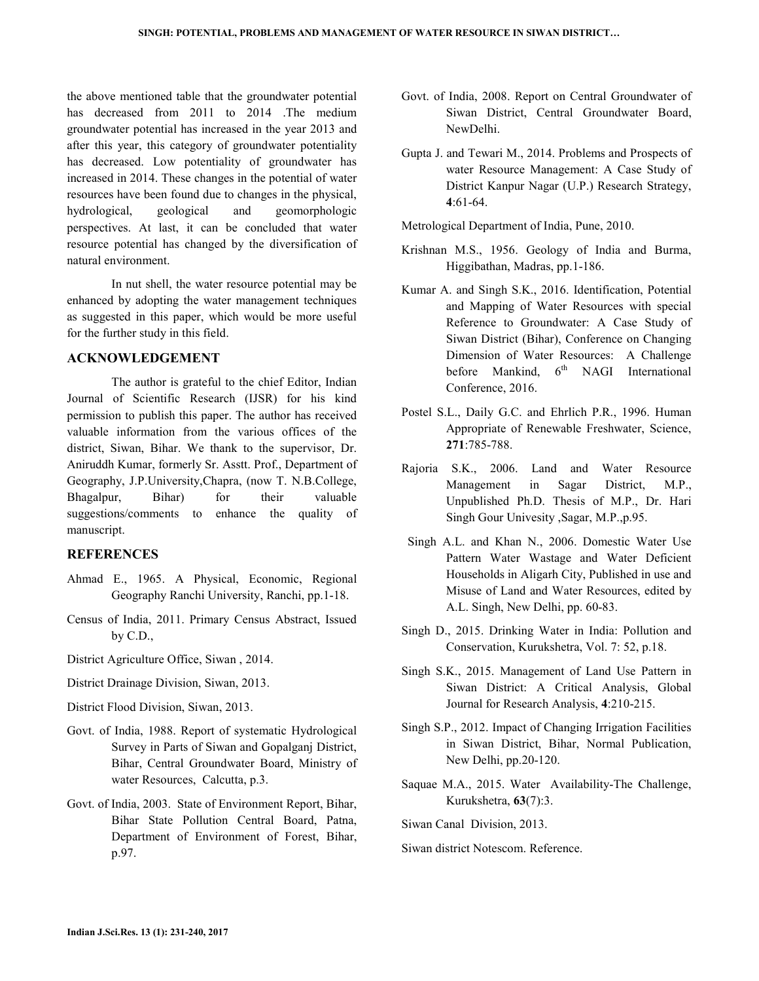the above mentioned table that the groundwater potential has decreased from 2011 to 2014 .The medium groundwater potential has increased in the year 2013 and after this year, this category of groundwater potentiality has decreased. Low potentiality of groundwater has increased in 2014. These changes in the potential of water resources have been found due to changes in the physical, hydrological, geological and geomorphologic perspectives. At last, it can be concluded that water resource potential has changed by the diversification of natural environment.

 In nut shell, the water resource potential may be enhanced by adopting the water management techniques as suggested in this paper, which would be more useful for the further study in this field.

#### **ACKNOWLEDGEMENT**

 The author is grateful to the chief Editor, Indian Journal of Scientific Research (IJSR) for his kind permission to publish this paper. The author has received valuable information from the various offices of the district, Siwan, Bihar. We thank to the supervisor, Dr. Aniruddh Kumar, formerly Sr. Asstt. Prof., Department of Geography, J.P.University,Chapra, (now T. N.B.College, Bhagalpur, Bihar) for their valuable suggestions/comments to enhance the quality of manuscript.

#### **REFERENCES**

- Ahmad E., 1965. A Physical, Economic, Regional Geography Ranchi University, Ranchi, pp.1-18.
- Census of India, 2011. Primary Census Abstract, Issued by C.D.,
- District Agriculture Office, Siwan , 2014.
- District Drainage Division, Siwan, 2013.
- District Flood Division, Siwan, 2013.
- Govt. of India, 1988. Report of systematic Hydrological Survey in Parts of Siwan and Gopalganj District, Bihar, Central Groundwater Board, Ministry of water Resources, Calcutta, p.3.
- Govt. of India, 2003. State of Environment Report, Bihar, Bihar State Pollution Central Board, Patna, Department of Environment of Forest, Bihar, p.97.
- Govt. of India, 2008. Report on Central Groundwater of Siwan District, Central Groundwater Board, NewDelhi.
- Gupta J. and Tewari M., 2014. Problems and Prospects of water Resource Management: A Case Study of District Kanpur Nagar (U.P.) Research Strategy, **4**:61-64.
- Metrological Department of India, Pune, 2010.
- Krishnan M.S., 1956. Geology of India and Burma, Higgibathan, Madras, pp.1-186.
- Kumar A. and Singh S.K., 2016. Identification, Potential and Mapping of Water Resources with special Reference to Groundwater: A Case Study of Siwan District (Bihar), Conference on Changing Dimension of Water Resources: A Challenge before Mankind,  $6<sup>th</sup>$  NAGI International Conference, 2016.
- Postel S.L., Daily G.C. and Ehrlich P.R., 1996. Human Appropriate of Renewable Freshwater, Science, **271**:785-788.
- Rajoria S.K., 2006. Land and Water Resource Management in Sagar District, M.P., Unpublished Ph.D. Thesis of M.P., Dr. Hari Singh Gour Univesity ,Sagar, M.P.,p.95.
- Singh A.L. and Khan N., 2006. Domestic Water Use Pattern Water Wastage and Water Deficient Households in Aligarh City, Published in use and Misuse of Land and Water Resources, edited by A.L. Singh, New Delhi, pp. 60-83.
- Singh D., 2015. Drinking Water in India: Pollution and Conservation, Kurukshetra, Vol. 7: 52, p.18.
- Singh S.K., 2015. Management of Land Use Pattern in Siwan District: A Critical Analysis, Global Journal for Research Analysis, **4**:210-215.
- Singh S.P., 2012. Impact of Changing Irrigation Facilities in Siwan District, Bihar, Normal Publication, New Delhi, pp.20-120.
- Saquae M.A., 2015. Water Availability-The Challenge, Kurukshetra, **63**(7):3.

Siwan Canal Division, 2013.

Siwan district Notescom. Reference.